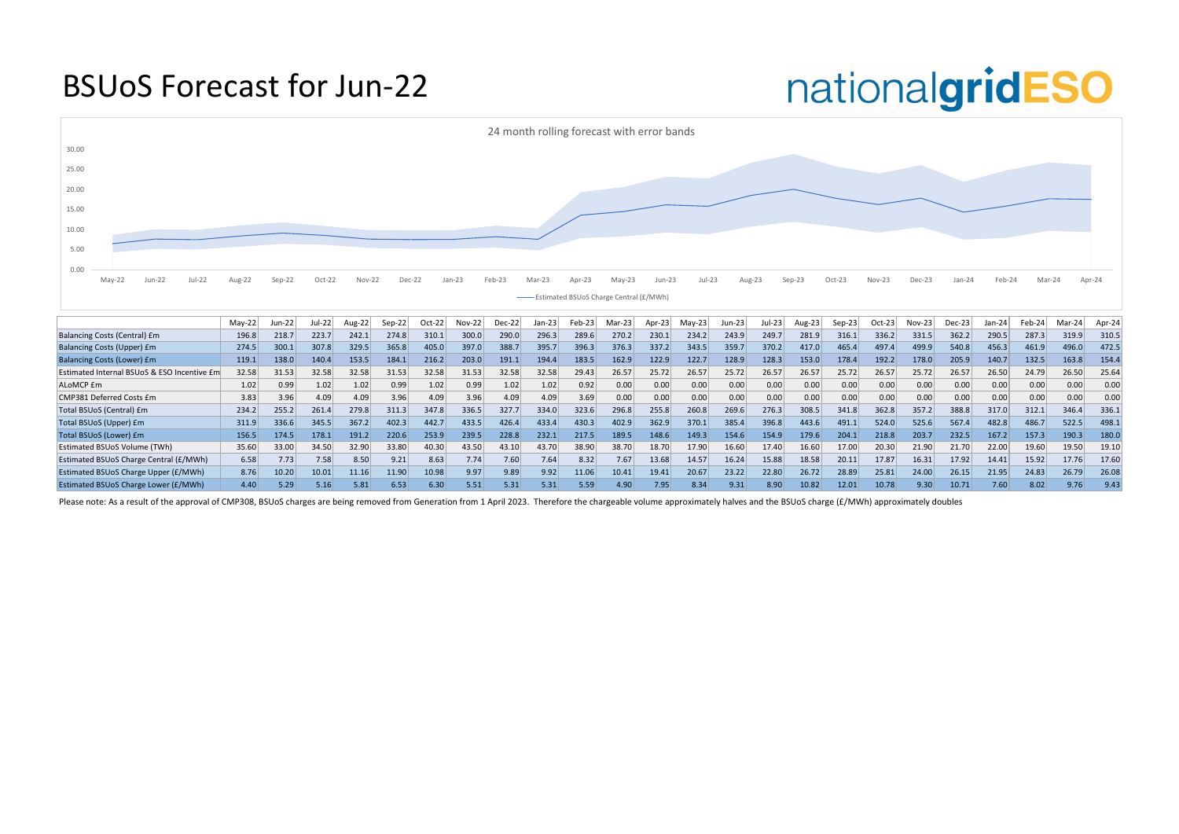## BSUoS Forecast for Jun-22

|                                             | $May-22$ | $un-22$ | Jul-22 | Aug-22 | Sep-22 | $Oct-22$ | $Nov-22$ | $Dec-22$ | $Jan-23$ | $Feb-23$ | Mar-23 $ $ | Apr-23 | $May-23$ | Jun-23 | Jul-23 | Aug-23 | $Sep-23$ | Oct-23 | $Nov-23$ | Dec-23 | Jan-24 | Feb-24 | $Mar-24$ | Apr-24 |
|---------------------------------------------|----------|---------|--------|--------|--------|----------|----------|----------|----------|----------|------------|--------|----------|--------|--------|--------|----------|--------|----------|--------|--------|--------|----------|--------|
| <b>Balancing Costs (Central) £m</b>         | 196.8    | 218.7   | 223.7  | 242.1  | 274.8  | 310.1    | 300.0    | 290.0    | 296.3    | 289.6    | 270.2      | 230.1  | 234.2    | 243.9  | 249.7  | 281.9  | 316.1    | 336.2  | 331.5    | 362.2  | 290.5  | 287.3  | 319.9    | 310.5  |
| <b>Balancing Costs (Upper) £m</b>           | 274.5    | 300.1   | 307.8  | 329.5  | 365.8  | 405.0    | 397.0    | 388.7    | 395.7    | 396.3    | 376.3      | 337.2  | 343.5    | 359.7  | 370.2  | 417.0  | 465.4    | 497.4  | 499.9    | 540.8  | 456.3  | 461.9  | 496.0    | 472.5  |
| <b>Balancing Costs (Lower) £m</b>           | 119.1    | 138.0   | 140.4  | 153.5  | 184.1  | 216.2    | 203.0    | 191.1    | 194.4    | 183.5    | 162.9      | 122.9  | 122.7    | 128.9  | 128.3  | 153.0  | 178.4    | 192.2  | 178.0    | 205.9  | 140.7  | 132.5  | 163.8    | 154.4  |
| Estimated Internal BSUoS & ESO Incentive Em | 32.58    | 31.53   | 32.58  | 32.58  | 31.53  | 32.58    | 31.53    | 32.58    | 32.58    | 29.43    | 26.57      | 25.72  | 26.57    | 25.72  | 26.57  | 26.57  | 25.72    | 26.57  | 25.72    | 26.57  | 26.50  | 24.79  | 26.50    | 25.64  |
| ALoMCP <i>fm</i>                            | 1.02     | 0.99    | 1.02   | 1.02   | 0.99   | 1.02     | 0.99     | 1.02     | 1.02     | 0.92     | 0.00       | 0.00   | 0.00     | 0.00   | 0.00   | 0.00   | 0.00     | 0.00   | 0.00     | 0.00   | 0.00   | 0.00   | 0.00     | 0.00   |
| CMP381 Deferred Costs £m                    | 3.83     | 3.96    | 4.09   | 4.09   | 3.96   | 4.09     | 3.96     | 4.09     | 4.09     | 3.69     | 0.00       | 0.00   | 0.00     | 0.00   | 0.00   | 0.00   | 0.00     | 0.00   | 0.00     | 0.00   | 0.00   | 0.00   | 0.00     | 0.00   |
| Total BSUoS (Central) £m                    | 234.2    | 255.2   | 261.4  | 279.8  | 311.3  | 347.8    | 336.5    | 327.7    | 334.0    | 323.6    | 296.8      | 255.8  | 260.8    | 269.6  | 276.3  | 308.5  | 341.8    | 362.8  | 357.2    | 388.8  | 317.0  | 312.1  | 346.4    | 336.1  |
| Total BSUoS (Upper) £m                      | 311.9    | 336.6   | 345.5  | 367.2  | 402.3  | 442.7    | 433.5    | 426.4    | 433.4    | 430.3    | 402.9      | 362.9  | 370.1    | 385.4  | 396.8  | 443.6  | 491.1    | 524.0  | 525.6    | 567.4  | 482.8  | 486.7  | 522.5    | 498.1  |
| Total BSUoS (Lower) £m                      | 156.5    | 174.5   | 178.1  | 191.2  | 220.6  | 253.9    | 239.5    | 228.8    | 232.1    | 217.5    | 189.5      | 148.6  | 149.3    | 154.6  | 154.9  | 179.6  | 204.1    | 218.8  | 203.7    | 232.5  | 167.2  | 157.3  | 190.3    | 180.0  |
| <b>Estimated BSUoS Volume (TWh)</b>         | 35.60    | 33.00   | 34.50  | 32.90  | 33.80  | 40.30    | 43.50    | 43.10    | 43.70    | 38.90    | 38.70      | 18.70  | 17.90    | 16.60  | 17.40  | 16.60  | 17.00    | 20.30  | 21.90    | 21.70  | 22.00  | 19.60  | 19.50    | 19.10  |
| Estimated BSUoS Charge Central (£/MWh)      | 6.58     | 7.73    | 7.58   | 8.50   | 9.21   | 8.63     | 7.74     | 7.60     | 7.64     | 8.32     | 7.67       | 13.68  | 14.57    | 16.24  | 15.88  | 18.58  | 20.11    | 17.87  | 16.31    | 17.92  | 14.41  | 15.92  | 17.76    | 17.60  |
| Estimated BSUoS Charge Upper (£/MWh)        | 8.76     | 10.20   | 10.01  | 11.16  | 11.90  | 10.98    | 9.97     | 9.89     | 9.92     | 11.06    | 10.41      | 19.41  | 20.67    | 23.22  | 22.80  | 26.72  | 28.89    | 25.81  | 24.00    | 26.15  | 21.95  | 24.83  | 26.79    | 26.08  |
| <b>Estimated BSUoS Charge Lower (£/MWh)</b> | 4.40     | 5.29    | 5.16   | 5.81   | 6.53   | 6.30     | 5.51     | 5.31     | 5.31     | 5.59     | 4.90       | 7.95   | 8.34     | 9.31   | 8.90   | 10.82  | 12.01    | 10.78  | 9.30     | 10.71  | 7.60   | 8.02   | 9.76     | 9.43   |

Please note: As a result of the approval of CMP308, BSUoS charges are being removed from Generation from 1 April 2023. Therefore the chargeable volume approximately halves and the BSUoS charge (£/MWh) approximately doubles

# nationalgridESO

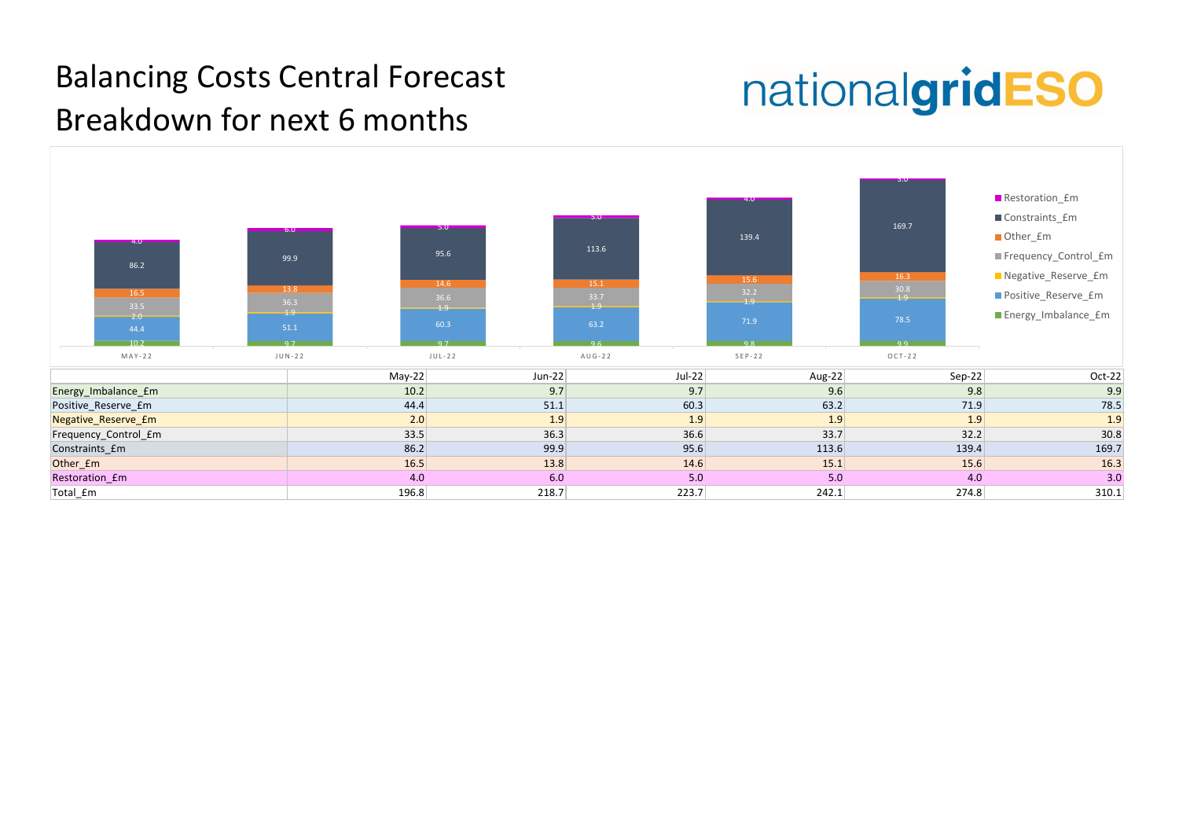

# nationalgridESO

| $Sep-22$ | $Oct-22$ |
|----------|----------|
| 9.8      | 9.9      |
| 71.9     | 78.5     |
| 1.9      | 1.9      |
| 32.2     | 30.8     |
| 139.4    | 169.7    |
| 15.6     | 16.3     |
| 4.0      | 3.0      |
| 274.8    | 310.1    |

## Balancing Costs Central Forecast Breakdown for next 6 months